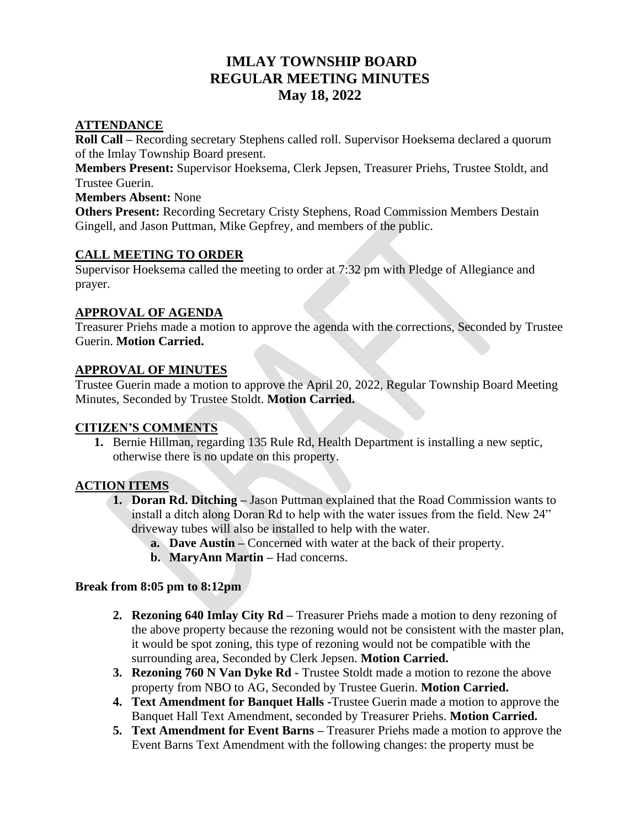# **IMLAY TOWNSHIP BOARD REGULAR MEETING MINUTES May 18, 2022**

### **ATTENDANCE**

**Roll Call –** Recording secretary Stephens called roll. Supervisor Hoeksema declared a quorum of the Imlay Township Board present.

**Members Present:** Supervisor Hoeksema, Clerk Jepsen, Treasurer Priehs, Trustee Stoldt, and Trustee Guerin.

#### **Members Absent:** None

**Others Present:** Recording Secretary Cristy Stephens, Road Commission Members Destain Gingell, and Jason Puttman, Mike Gepfrey, and members of the public.

## **CALL MEETING TO ORDER**

Supervisor Hoeksema called the meeting to order at 7:32 pm with Pledge of Allegiance and prayer.

## **APPROVAL OF AGENDA**

Treasurer Priehs made a motion to approve the agenda with the corrections, Seconded by Trustee Guerin. **Motion Carried.** 

## **APPROVAL OF MINUTES**

Trustee Guerin made a motion to approve the April 20, 2022, Regular Township Board Meeting Minutes, Seconded by Trustee Stoldt. **Motion Carried.**

## **CITIZEN'S COMMENTS**

**1.** Bernie Hillman, regarding 135 Rule Rd, Health Department is installing a new septic, otherwise there is no update on this property.

## **ACTION ITEMS**

- **1. Doran Rd. Ditching –** Jason Puttman explained that the Road Commission wants to install a ditch along Doran Rd to help with the water issues from the field. New 24" driveway tubes will also be installed to help with the water.
	- **a. Dave Austin –** Concerned with water at the back of their property.
	- **b. MaryAnn Martin –** Had concerns.

## **Break from 8:05 pm to 8:12pm**

- **2. Rezoning 640 Imlay City Rd –** Treasurer Priehs made a motion to deny rezoning of the above property because the rezoning would not be consistent with the master plan, it would be spot zoning, this type of rezoning would not be compatible with the surrounding area, Seconded by Clerk Jepsen. **Motion Carried.**
- **3. Rezoning 760 N Van Dyke Rd -** Trustee Stoldt made a motion to rezone the above property from NBO to AG, Seconded by Trustee Guerin. **Motion Carried.**
- **4. Text Amendment for Banquet Halls -**Trustee Guerin made a motion to approve the Banquet Hall Text Amendment, seconded by Treasurer Priehs. **Motion Carried.**
- **5. Text Amendment for Event Barns –** Treasurer Priehs made a motion to approve the Event Barns Text Amendment with the following changes: the property must be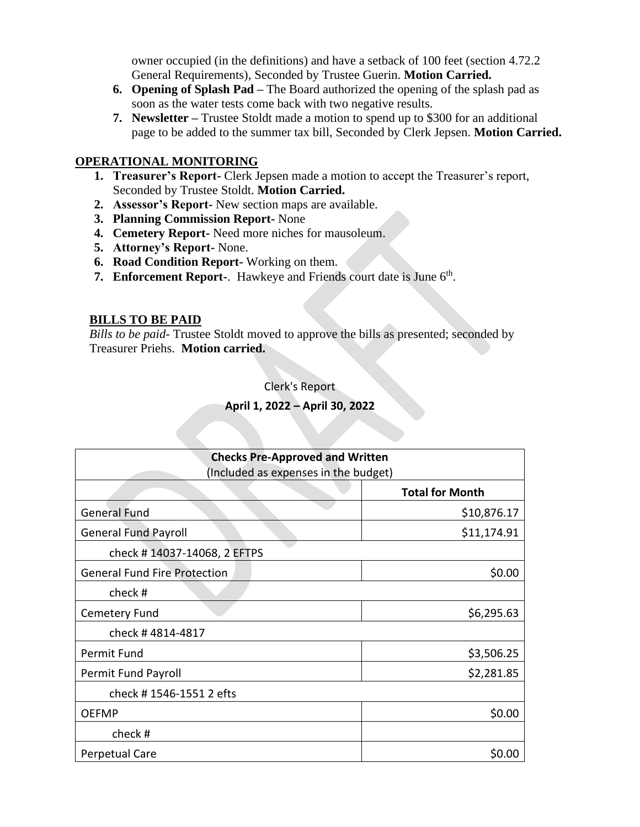owner occupied (in the definitions) and have a setback of 100 feet (section 4.72.2 General Requirements), Seconded by Trustee Guerin. **Motion Carried.** 

- **6. Opening of Splash Pad –** The Board authorized the opening of the splash pad as soon as the water tests come back with two negative results.
- **7. Newsletter –** Trustee Stoldt made a motion to spend up to \$300 for an additional page to be added to the summer tax bill, Seconded by Clerk Jepsen. **Motion Carried.**

#### **OPERATIONAL MONITORING**

- **1. Treasurer's Report-** Clerk Jepsen made a motion to accept the Treasurer's report, Seconded by Trustee Stoldt. **Motion Carried.**
- **2. Assessor's Report-** New section maps are available.
- **3. Planning Commission Report-** None
- **4. Cemetery Report-** Need more niches for mausoleum.
- **5. Attorney's Report-** None.
- **6. Road Condition Report-** Working on them.
- **7. Enforcement Report-**. Hawkeye and Friends court date is June 6<sup>th</sup>.

#### **BILLS TO BE PAID**

*Bills to be paid-* Trustee Stoldt moved to approve the bills as presented; seconded by Treasurer Priehs. **Motion carried.**

Clerk's Report

#### **April 1, 2022 – April 30, 2022**

| <b>Checks Pre-Approved and Written</b><br>(Included as expenses in the budget) |             |
|--------------------------------------------------------------------------------|-------------|
|                                                                                |             |
| <b>General Fund</b>                                                            | \$10,876.17 |
| <b>General Fund Payroll</b>                                                    | \$11,174.91 |
| check #14037-14068, 2 EFTPS                                                    |             |
| <b>General Fund Fire Protection</b>                                            | \$0.00      |
| check#                                                                         |             |
| Cemetery Fund                                                                  | \$6,295.63  |
| check #4814-4817                                                               |             |
| Permit Fund                                                                    | \$3,506.25  |
| Permit Fund Payroll                                                            | \$2,281.85  |
| check #1546-1551 2 efts                                                        |             |
| <b>OEFMP</b>                                                                   | \$0.00      |
| check#                                                                         |             |
| Perpetual Care                                                                 | \$0.00      |